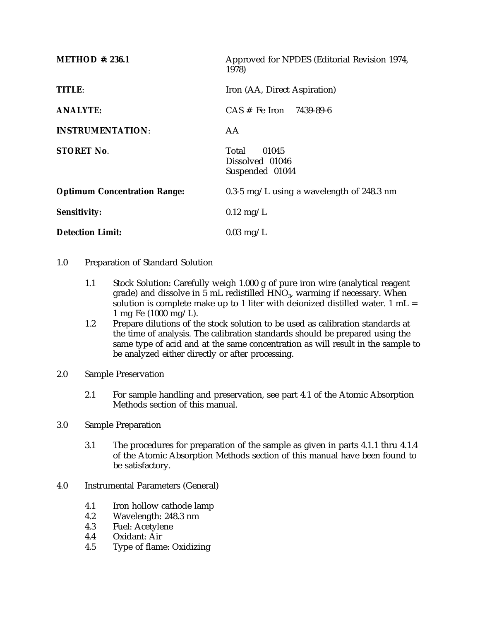| Approved for NPDES (Editorial Revision 1974,<br>1978) |
|-------------------------------------------------------|
| Iron (AA, Direct Aspiration)                          |
| $CAS \#$ Fe Iron 7439-89-6                            |
| AA                                                    |
| Total<br>01045<br>Dissolved 01046<br>Suspended 01044  |
| 0.3-5 mg/L using a wavelength of 248.3 nm             |
| $0.12 \text{ mg/L}$                                   |
| $0.03 \text{ mg/L}$                                   |
|                                                       |

- 1.0 Preparation of Standard Solution
	- 1.1 Stock Solution: Carefully weigh 1.000 g of pure iron wire (analytical reagent grade) and dissolve in 5 mL redistilled HNO<sub>3</sub>, warming if necessary. When solution is complete make up to 1 liter with deionized distilled water.  $1 \text{ mL} =$ 1 mg Fe (1000 mg/L).
	- 1.2 Prepare dilutions of the stock solution to be used as calibration standards at the time of analysis. The calibration standards should be prepared using the same type of acid and at the same concentration as will result in the sample to be analyzed either directly or after processing.
- 2.0 Sample Preservation
	- 2.1 For sample handling and preservation, see part 4.1 of the Atomic Absorption Methods section of this manual.
- 3.0 Sample Preparation
	- 3.1 The procedures for preparation of the sample as given in parts 4.1.1 thru 4.1.4 of the Atomic Absorption Methods section of this manual have been found to be satisfactory.
- 4.0 Instrumental Parameters (General)
	- 4.1 Iron hollow cathode lamp<br>4.2 Wavelength: 248.3 nm
	- 4.2 Wavelength: 248.3 nm
	- 4.3 Fuel: Acetylene
	- 4.4 Oxidant: Air<br>4.5 Type of flam
	- Type of flame: Oxidizing